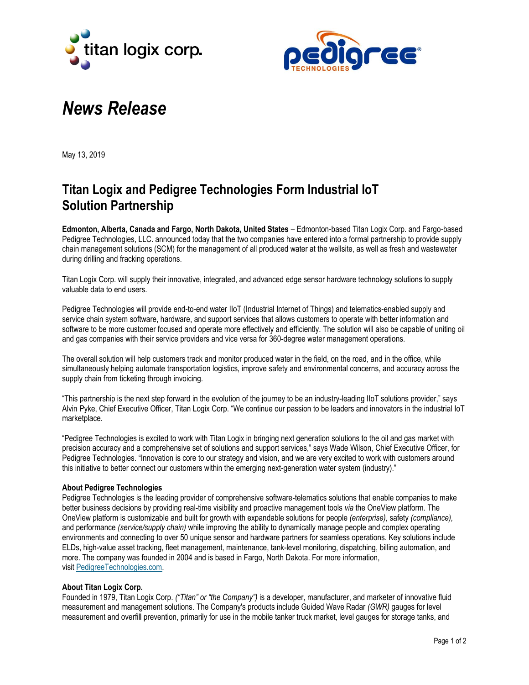



# *News Release*

May 13, 2019

# **Titan Logix and Pedigree Technologies Form Industrial IoT Solution Partnership**

**Edmonton, Alberta, Canada and Fargo, North Dakota, United States** – Edmonton-based Titan Logix Corp. and Fargo-based Pedigree Technologies, LLC. announced today that the two companies have entered into a formal partnership to provide supply chain management solutions (SCM) for the management of all produced water at the wellsite, as well as fresh and wastewater during drilling and fracking operations.

Titan Logix Corp. will supply their innovative, integrated, and advanced edge sensor hardware technology solutions to supply valuable data to end users.

Pedigree Technologies will provide end-to-end water IIoT (Industrial Internet of Things) and telematics-enabled supply and service chain system software, hardware, and support services that allows customers to operate with better information and software to be more customer focused and operate more effectively and efficiently. The solution will also be capable of uniting oil and gas companies with their service providers and vice versa for 360-degree water management operations.

The overall solution will help customers track and monitor produced water in the field, on the road, and in the office, while simultaneously helping automate transportation logistics, improve safety and environmental concerns, and accuracy across the supply chain from ticketing through invoicing.

"This partnership is the next step forward in the evolution of the journey to be an industry-leading IIoT solutions provider," says Alvin Pyke, Chief Executive Officer, Titan Logix Corp. "We continue our passion to be leaders and innovators in the industrial IoT marketplace.

"Pedigree Technologies is excited to work with Titan Logix in bringing next generation solutions to the oil and gas market with precision accuracy and a comprehensive set of solutions and support services," says Wade Wilson, Chief Executive Officer, for Pedigree Technologies. "Innovation is core to our strategy and vision, and we are very excited to work with customers around this initiative to better connect our customers within the emerging next-generation water system (industry)."

### **About Pedigree Technologies**

Pedigree Technologies is the leading provider of comprehensive software-telematics solutions that enable companies to make better business decisions by providing real-time visibility and proactive management tools *via* the OneView platform. The OneView platform is customizable and built for growth with expandable solutions for people *(enterprise),* safety *(compliance),* and performance *(service/supply chain)* while improving the ability to dynamically manage people and complex operating environments and connecting to over 50 unique sensor and hardware partners for seamless operations. Key solutions include ELDs, high-value asset tracking, fleet management, maintenance, tank-level monitoring, dispatching, billing automation, and more. The company was founded in 2004 and is based in Fargo, North Dakota. For more information, visit [PedigreeTechnologies.com.](http://www.pedigreetechnologies.com/)

### **About Titan Logix Corp.**

Founded in 1979, Titan Logix Corp. *("Titan" or "the Company")* is a developer, manufacturer, and marketer of innovative fluid measurement and management solutions. The Company's products include Guided Wave Radar *(GWR)* gauges for level measurement and overfill prevention, primarily for use in the mobile tanker truck market, level gauges for storage tanks, and